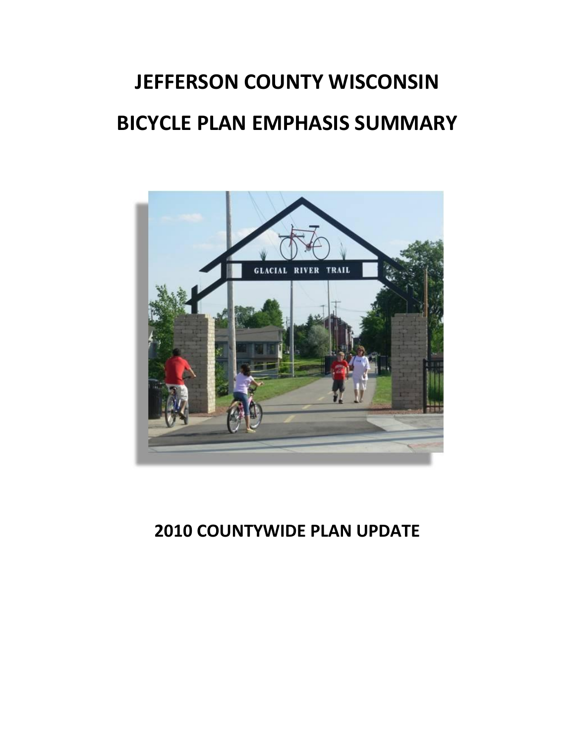# **JEFFERSON COUNTY WISCONSIN BICYCLE PLAN EMPHASIS SUMMARY**



# **2010 COUNTYWIDE PLAN UPDATE**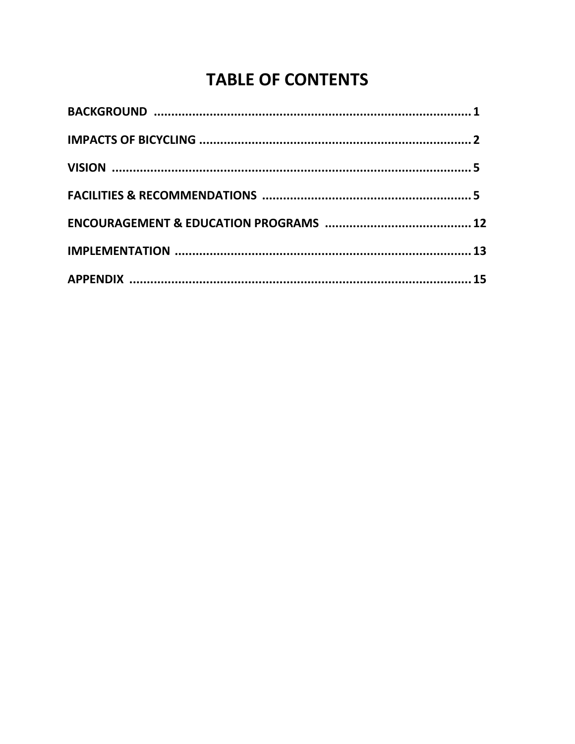# **TABLE OF CONTENTS**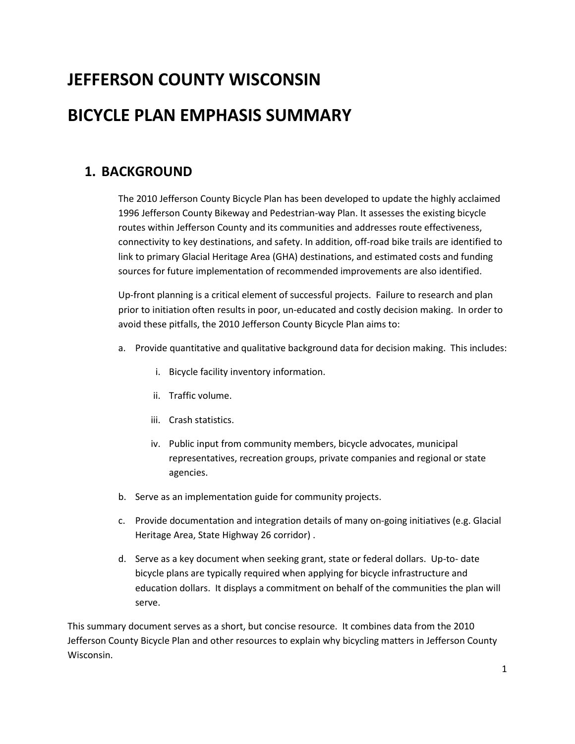# **JEFFERSON COUNTY WISCONSIN**

# **BICYCLE PLAN EMPHASIS SUMMARY**

# **1. BACKGROUND**

The 2010 Jefferson County Bicycle Plan has been developed to update the highly acclaimed 1996 Jefferson County Bikeway and Pedestrian-way Plan. It assesses the existing bicycle routes within Jefferson County and its communities and addresses route effectiveness, connectivity to key destinations, and safety. In addition, off-road bike trails are identified to link to primary Glacial Heritage Area (GHA) destinations, and estimated costs and funding sources for future implementation of recommended improvements are also identified.

Up-front planning is a critical element of successful projects. Failure to research and plan prior to initiation often results in poor, un-educated and costly decision making. In order to avoid these pitfalls, the 2010 Jefferson County Bicycle Plan aims to:

- a. Provide quantitative and qualitative background data for decision making. This includes:
	- i. Bicycle facility inventory information.
	- ii. Traffic volume.
	- iii. Crash statistics.
	- iv. Public input from community members, bicycle advocates, municipal representatives, recreation groups, private companies and regional or state agencies.
- b. Serve as an implementation guide for community projects.
- c. Provide documentation and integration details of many on-going initiatives (e.g. Glacial Heritage Area, State Highway 26 corridor) .
- d. Serve as a key document when seeking grant, state or federal dollars. Up-to- date bicycle plans are typically required when applying for bicycle infrastructure and education dollars. It displays a commitment on behalf of the communities the plan will serve.

This summary document serves as a short, but concise resource. It combines data from the 2010 Jefferson County Bicycle Plan and other resources to explain why bicycling matters in Jefferson County Wisconsin.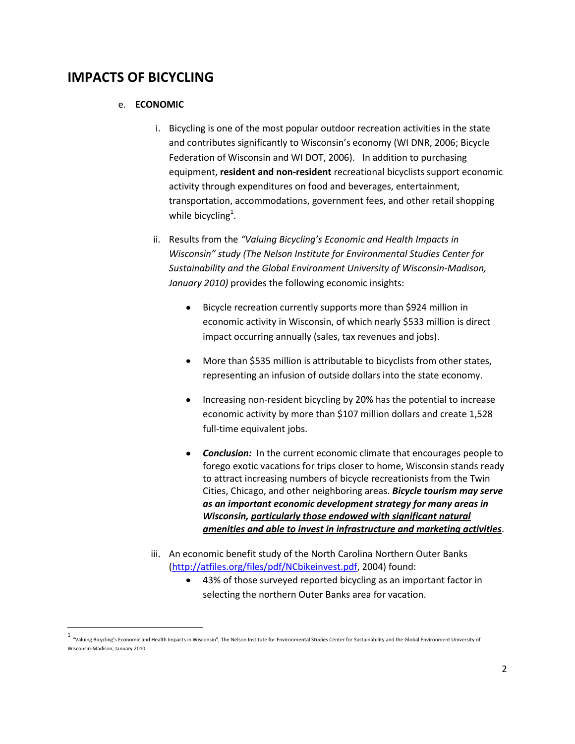# **IMPACTS OF BICYCLING**

 $\overline{a}$ 

#### e. **ECONOMIC**

- i. Bicycling is one of the most popular outdoor recreation activities in the state and contributes significantly to Wisconsin's economy (WI DNR, 2006; Bicycle Federation of Wisconsin and WI DOT, 2006). In addition to purchasing equipment, **resident and non‐resident** recreational bicyclists support economic activity through expenditures on food and beverages, entertainment, transportation, accommodations, government fees, and other retail shopping while bicycling<sup>1</sup>.
- ii. Results from the *"Valuing Bicycling's Economic and Health Impacts in Wisconsin" study (The Nelson Institute for Environmental Studies Center for Sustainability and the Global Environment University of Wisconsin‐Madison, January 2010)* provides the following economic insights:
	- Bicycle recreation currently supports more than \$924 million in  $\bullet$ economic activity in Wisconsin, of which nearly \$533 million is direct impact occurring annually (sales, tax revenues and jobs).
	- More than \$535 million is attributable to bicyclists from other states,  $\bullet$ representing an infusion of outside dollars into the state economy.
	- Increasing non‐resident bicycling by 20% has the potential to increase  $\bullet$ economic activity by more than \$107 million dollars and create 1,528 full-time equivalent jobs.
	- *Conclusion:* In the current economic climate that encourages people to forego exotic vacations for trips closer to home, Wisconsin stands ready to attract increasing numbers of bicycle recreationists from the Twin Cities, Chicago, and other neighboring areas. *Bicycle tourism may serve as an important economic development strategy for many areas in Wisconsin, particularly those endowed with significant natural amenities and able to invest in infrastructure and marketing activities*.
- iii. An economic benefit study of the North Carolina Northern Outer Banks [\(http://atfiles.org/files/pdf/NCbikeinvest.pdf,](http://atfiles.org/files/pdf/NCbikeinvest.pdf) 2004) found:
	- 43% of those surveyed reported bicycling as an important factor in selecting the northern Outer Banks area for vacation.

<sup>1</sup> "Valuing Bicycling's Economic and Health Impacts in Wisconsin", The Nelson Institute for Environmental Studies Center for Sustainability and the Global Environment University of Wisconsin‐Madison, January 2010.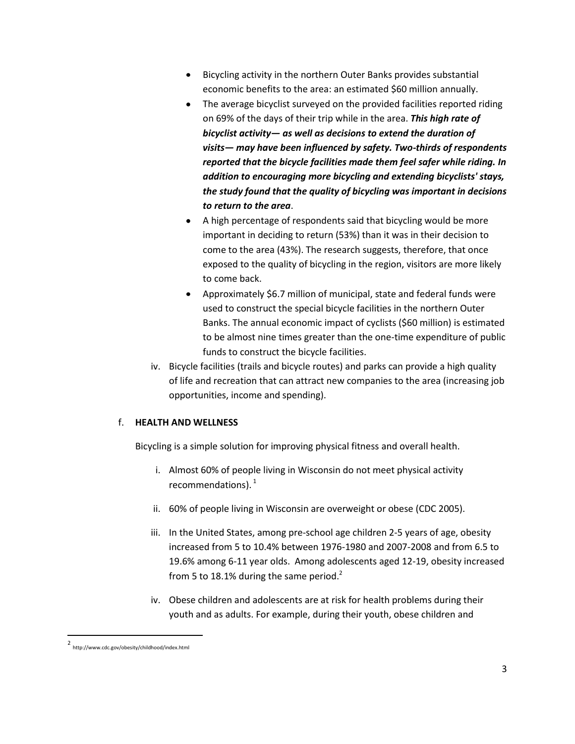- Bicycling activity in the northern Outer Banks provides substantial  $\bullet$ economic benefits to the area: an estimated \$60 million annually.
- The average bicyclist surveyed on the provided facilities reported riding  $\bullet$ on 69% of the days of their trip while in the area. *This high rate of bicyclist activity— as well as decisions to extend the duration of visits— may have been influenced by safety. Two-thirds of respondents reported that the bicycle facilities made them feel safer while riding. In addition to encouraging more bicycling and extending bicyclists' stays, the study found that the quality of bicycling was important in decisions to return to the area*.
- A high percentage of respondents said that bicycling would be more  $\bullet$ important in deciding to return (53%) than it was in their decision to come to the area (43%). The research suggests, therefore, that once exposed to the quality of bicycling in the region, visitors are more likely to come back.
- Approximately \$6.7 million of municipal, state and federal funds were  $\bullet$ used to construct the special bicycle facilities in the northern Outer Banks. The annual economic impact of cyclists (\$60 million) is estimated to be almost nine times greater than the one-time expenditure of public funds to construct the bicycle facilities.
- iv. Bicycle facilities (trails and bicycle routes) and parks can provide a high quality of life and recreation that can attract new companies to the area (increasing job opportunities, income and spending).

### f. **HEALTH AND WELLNESS**

Bicycling is a simple solution for improving physical fitness and overall health.

- i. Almost 60% of people living in Wisconsin do not meet physical activity recommendations).  $^1$
- ii. 60% of people living in Wisconsin are overweight or obese (CDC 2005).
- iii. In the United States, among pre-school age children 2-5 years of age, obesity increased from 5 to 10.4% between 1976-1980 and 2007-2008 and from 6.5 to 19.6% among 6-11 year olds. Among adolescents aged 12-19, obesity increased from 5 to 18.1% during the same period.<sup>2</sup>
- iv. Obese children and adolescents are at risk for health problems during their youth and as adults. For example, during their youth, obese children and

 $\overline{\phantom{a}}$ 

<sup>2</sup> http://www.cdc.gov/obesity/childhood/index.html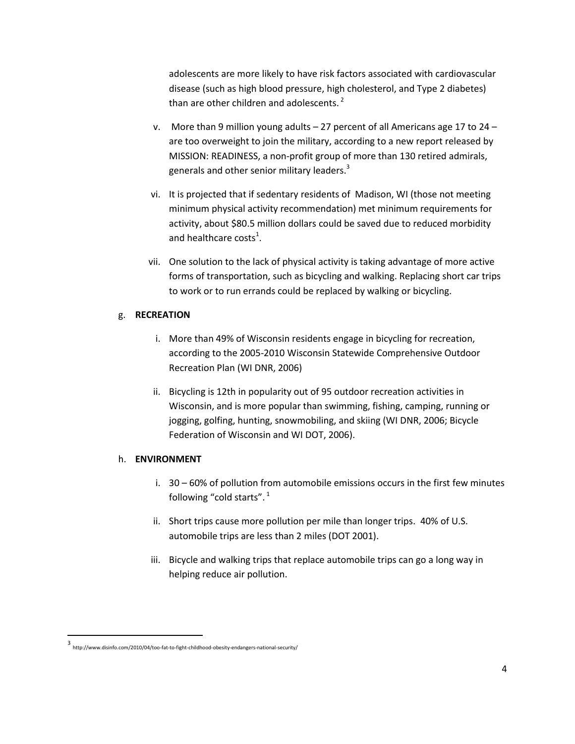adolescents are more likely to have risk factors associated with cardiovascular disease (such as high blood pressure, high cholesterol, and Type 2 diabetes) than are other children and adolescents.<sup>2</sup>

- v. More than 9 million young adults 27 percent of all Americans age 17 to 24 are too overweight to join the military, according to a new report released by MISSION: READINESS, a non-profit group of more than 130 retired admirals, generals and other senior military leaders.<sup>3</sup>
- vi. It is projected that if sedentary residents of Madison, WI (those not meeting minimum physical activity recommendation) met minimum requirements for activity, about \$80.5 million dollars could be saved due to reduced morbidity and healthcare costs<sup>1</sup>.
- vii. One solution to the lack of physical activity is taking advantage of more active forms of transportation, such as bicycling and walking. Replacing short car trips to work or to run errands could be replaced by walking or bicycling.

### g. **RECREATION**

- i. More than 49% of Wisconsin residents engage in bicycling for recreation, according to the 2005‐2010 Wisconsin Statewide Comprehensive Outdoor Recreation Plan (WI DNR, 2006)
- ii. Bicycling is 12th in popularity out of 95 outdoor recreation activities in Wisconsin, and is more popular than swimming, fishing, camping, running or jogging, golfing, hunting, snowmobiling, and skiing (WI DNR, 2006; Bicycle Federation of Wisconsin and WI DOT, 2006).

### h. **ENVIRONMENT**

- i. 30 60% of pollution from automobile emissions occurs in the first few minutes following "cold starts". <sup>1</sup>
- ii. Short trips cause more pollution per mile than longer trips. 40% of U.S. automobile trips are less than 2 miles (DOT 2001).
- iii. Bicycle and walking trips that replace automobile trips can go a long way in helping reduce air pollution.

 $\overline{\phantom{a}}$ 

<sup>3</sup> http://www.disinfo.com/2010/04/too-fat-to-fight-childhood-obesity-endangers-national-security/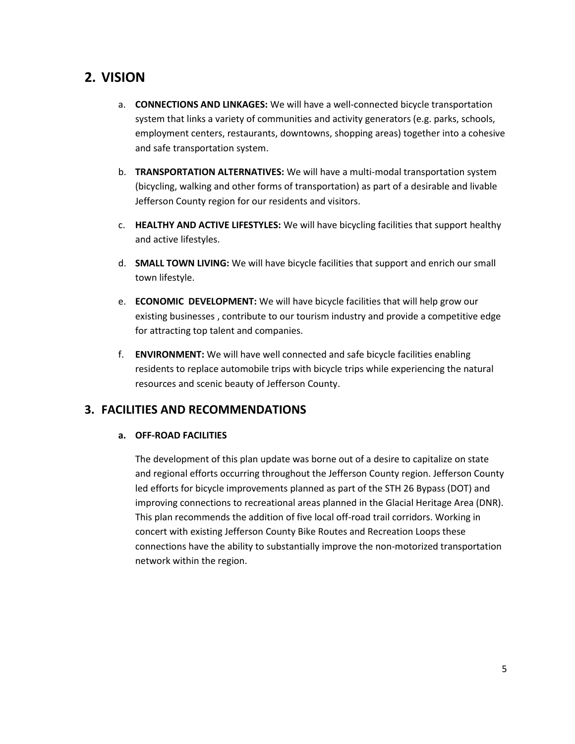# **2. VISION**

- a. **CONNECTIONS AND LINKAGES:** We will have a well-connected bicycle transportation system that links a variety of communities and activity generators (e.g. parks, schools, employment centers, restaurants, downtowns, shopping areas) together into a cohesive and safe transportation system.
- b. **TRANSPORTATION ALTERNATIVES:** We will have a multi-modal transportation system (bicycling, walking and other forms of transportation) as part of a desirable and livable Jefferson County region for our residents and visitors.
- c. **HEALTHY AND ACTIVE LIFESTYLES:** We will have bicycling facilities that support healthy and active lifestyles.
- d. **SMALL TOWN LIVING:** We will have bicycle facilities that support and enrich our small town lifestyle.
- e. **ECONOMIC DEVELOPMENT:** We will have bicycle facilities that will help grow our existing businesses , contribute to our tourism industry and provide a competitive edge for attracting top talent and companies.
- f. **ENVIRONMENT:** We will have well connected and safe bicycle facilities enabling residents to replace automobile trips with bicycle trips while experiencing the natural resources and scenic beauty of Jefferson County.

# **3. FACILITIES AND RECOMMENDATIONS**

# **a. OFF-ROAD FACILITIES**

The development of this plan update was borne out of a desire to capitalize on state and regional efforts occurring throughout the Jefferson County region. Jefferson County led efforts for bicycle improvements planned as part of the STH 26 Bypass (DOT) and improving connections to recreational areas planned in the Glacial Heritage Area (DNR). This plan recommends the addition of five local off-road trail corridors. Working in concert with existing Jefferson County Bike Routes and Recreation Loops these connections have the ability to substantially improve the non-motorized transportation network within the region.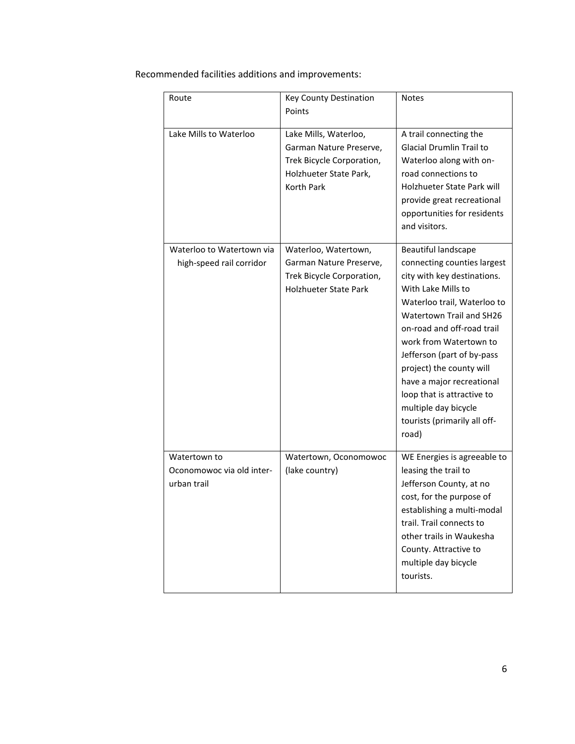Recommended facilities additions and improvements:

| Route                                                    | <b>Key County Destination</b><br>Points                                                                                      | <b>Notes</b>                                                                                                                                                                                                                                                                                                                                                                                                     |
|----------------------------------------------------------|------------------------------------------------------------------------------------------------------------------------------|------------------------------------------------------------------------------------------------------------------------------------------------------------------------------------------------------------------------------------------------------------------------------------------------------------------------------------------------------------------------------------------------------------------|
| Lake Mills to Waterloo                                   | Lake Mills, Waterloo,<br>Garman Nature Preserve,<br>Trek Bicycle Corporation,<br>Holzhueter State Park,<br><b>Korth Park</b> | A trail connecting the<br>Glacial Drumlin Trail to<br>Waterloo along with on-<br>road connections to<br>Holzhueter State Park will<br>provide great recreational<br>opportunities for residents<br>and visitors.                                                                                                                                                                                                 |
| Waterloo to Watertown via<br>high-speed rail corridor    | Waterloo, Watertown,<br>Garman Nature Preserve,<br>Trek Bicycle Corporation,<br><b>Holzhueter State Park</b>                 | Beautiful landscape<br>connecting counties largest<br>city with key destinations.<br>With Lake Mills to<br>Waterloo trail, Waterloo to<br>Watertown Trail and SH26<br>on-road and off-road trail<br>work from Watertown to<br>Jefferson (part of by-pass<br>project) the county will<br>have a major recreational<br>loop that is attractive to<br>multiple day bicycle<br>tourists (primarily all off-<br>road) |
| Watertown to<br>Oconomowoc via old inter-<br>urban trail | Watertown, Oconomowoc<br>(lake country)                                                                                      | WE Energies is agreeable to<br>leasing the trail to<br>Jefferson County, at no<br>cost, for the purpose of<br>establishing a multi-modal<br>trail. Trail connects to<br>other trails in Waukesha<br>County. Attractive to<br>multiple day bicycle<br>tourists.                                                                                                                                                   |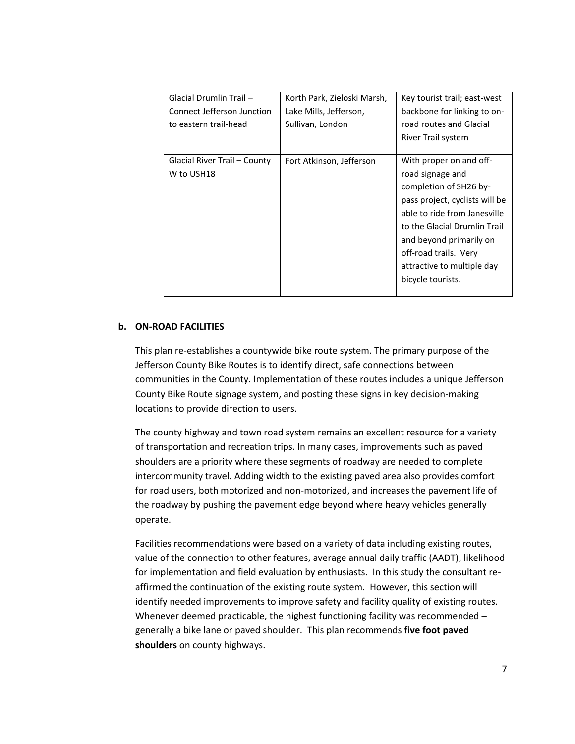| Glacial Drumlin Trail -      | Korth Park, Zieloski Marsh, | Key tourist trail; east-west   |
|------------------------------|-----------------------------|--------------------------------|
| Connect Jefferson Junction   | Lake Mills, Jefferson,      | backbone for linking to on-    |
| to eastern trail-head        | Sullivan, London            | road routes and Glacial        |
|                              |                             | River Trail system             |
|                              |                             |                                |
| Glacial River Trail – County | Fort Atkinson, Jefferson    | With proper on and off-        |
| W to USH18                   |                             | road signage and               |
|                              |                             | completion of SH26 by-         |
|                              |                             | pass project, cyclists will be |
|                              |                             | able to ride from Janesville   |
|                              |                             | to the Glacial Drumlin Trail   |
|                              |                             | and beyond primarily on        |
|                              |                             | off-road trails. Very          |
|                              |                             | attractive to multiple day     |
|                              |                             | bicycle tourists.              |
|                              |                             |                                |

#### **b. ON-ROAD FACILITIES**

This plan re-establishes a countywide bike route system. The primary purpose of the Jefferson County Bike Routes is to identify direct, safe connections between communities in the County. Implementation of these routes includes a unique Jefferson County Bike Route signage system, and posting these signs in key decision-making locations to provide direction to users.

The county highway and town road system remains an excellent resource for a variety of transportation and recreation trips. In many cases, improvements such as paved shoulders are a priority where these segments of roadway are needed to complete intercommunity travel. Adding width to the existing paved area also provides comfort for road users, both motorized and non-motorized, and increases the pavement life of the roadway by pushing the pavement edge beyond where heavy vehicles generally operate.

Facilities recommendations were based on a variety of data including existing routes, value of the connection to other features, average annual daily traffic (AADT), likelihood for implementation and field evaluation by enthusiasts. In this study the consultant reaffirmed the continuation of the existing route system. However, this section will identify needed improvements to improve safety and facility quality of existing routes. Whenever deemed practicable, the highest functioning facility was recommended generally a bike lane or paved shoulder. This plan recommends **five foot paved shoulders** on county highways.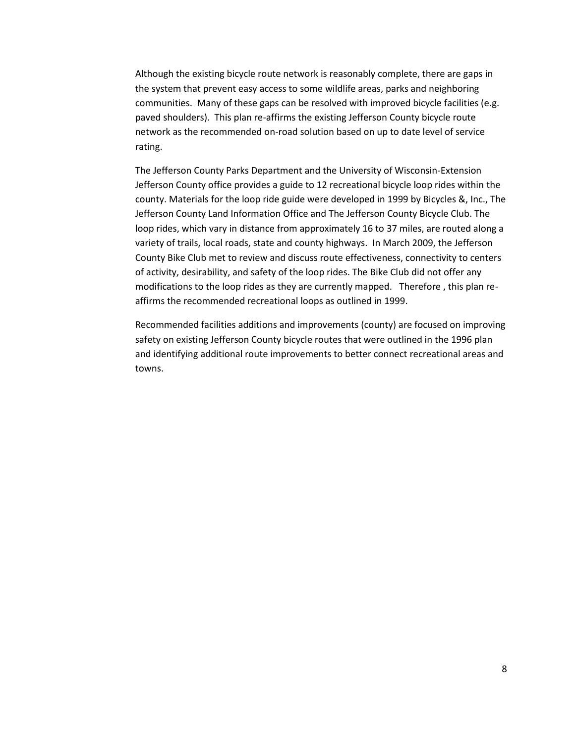Although the existing bicycle route network is reasonably complete, there are gaps in the system that prevent easy access to some wildlife areas, parks and neighboring communities. Many of these gaps can be resolved with improved bicycle facilities (e.g. paved shoulders). This plan re-affirms the existing Jefferson County bicycle route network as the recommended on-road solution based on up to date level of service rating.

The Jefferson County Parks Department and the University of Wisconsin-Extension Jefferson County office provides a guide to 12 recreational bicycle loop rides within the county. Materials for the loop ride guide were developed in 1999 by Bicycles &, Inc., The Jefferson County Land Information Office and The Jefferson County Bicycle Club. The loop rides, which vary in distance from approximately 16 to 37 miles, are routed along a variety of trails, local roads, state and county highways. In March 2009, the Jefferson County Bike Club met to review and discuss route effectiveness, connectivity to centers of activity, desirability, and safety of the loop rides. The Bike Club did not offer any modifications to the loop rides as they are currently mapped. Therefore , this plan reaffirms the recommended recreational loops as outlined in 1999.

Recommended facilities additions and improvements (county) are focused on improving safety on existing Jefferson County bicycle routes that were outlined in the 1996 plan and identifying additional route improvements to better connect recreational areas and towns.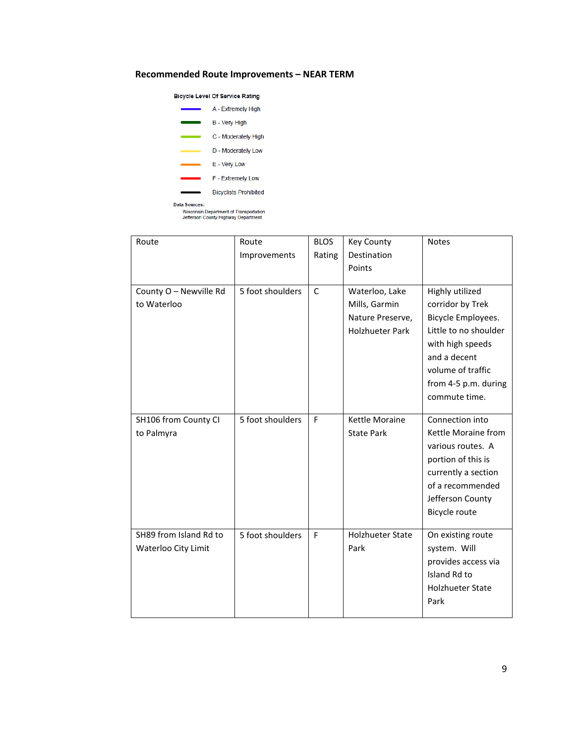#### **Recommended Route Improvements – NEAR TERM**

#### **Bicycle Level Of Service Rating**



| Route                                         | Route<br>Improvements | <b>BLOS</b><br>Rating | <b>Key County</b><br>Destination<br>Points                                    | <b>Notes</b>                                                                                                                                                                         |
|-----------------------------------------------|-----------------------|-----------------------|-------------------------------------------------------------------------------|--------------------------------------------------------------------------------------------------------------------------------------------------------------------------------------|
| County O - Newville Rd<br>to Waterloo         | 5 foot shoulders      | $\mathsf{C}$          | Waterloo, Lake<br>Mills, Garmin<br>Nature Preserve,<br><b>Holzhueter Park</b> | Highly utilized<br>corridor by Trek<br>Bicycle Employees.<br>Little to no shoulder<br>with high speeds<br>and a decent<br>volume of traffic<br>from 4-5 p.m. during<br>commute time. |
| SH106 from County CI<br>to Palmyra            | 5 foot shoulders      | F                     | <b>Kettle Moraine</b><br><b>State Park</b>                                    | Connection into<br>Kettle Moraine from<br>various routes. A<br>portion of this is<br>currently a section<br>of a recommended<br>Jefferson County<br>Bicycle route                    |
| SH89 from Island Rd to<br>Waterloo City Limit | 5 foot shoulders      | F                     | <b>Holzhueter State</b><br>Park                                               | On existing route<br>system. Will<br>provides access via<br>Island Rd to<br><b>Holzhueter State</b><br>Park                                                                          |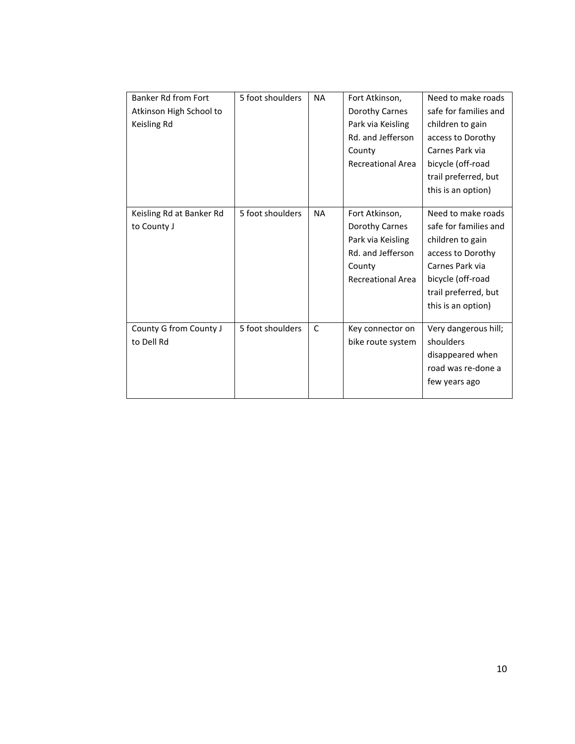| Banker Rd from Fort      | 5 foot shoulders | <b>NA</b> | Fort Atkinson,           | Need to make roads    |
|--------------------------|------------------|-----------|--------------------------|-----------------------|
| Atkinson High School to  |                  |           | Dorothy Carnes           | safe for families and |
| Keisling Rd              |                  |           | Park via Keisling        | children to gain      |
|                          |                  |           | Rd. and Jefferson        | access to Dorothy     |
|                          |                  |           | County                   | Carnes Park via       |
|                          |                  |           | <b>Recreational Area</b> | bicycle (off-road     |
|                          |                  |           |                          | trail preferred, but  |
|                          |                  |           |                          | this is an option)    |
|                          |                  |           |                          |                       |
| Keisling Rd at Banker Rd | 5 foot shoulders | <b>NA</b> | Fort Atkinson,           | Need to make roads    |
| to County J              |                  |           | Dorothy Carnes           | safe for families and |
|                          |                  |           | Park via Keisling        | children to gain      |
|                          |                  |           | Rd. and Jefferson        | access to Dorothy     |
|                          |                  |           | County                   | Carnes Park via       |
|                          |                  |           | <b>Recreational Area</b> | bicycle (off-road     |
|                          |                  |           |                          | trail preferred, but  |
|                          |                  |           |                          | this is an option)    |
|                          |                  |           |                          |                       |
| County G from County J   | 5 foot shoulders | C         | Key connector on         | Very dangerous hill;  |
| to Dell Rd               |                  |           | bike route system        | shoulders             |
|                          |                  |           |                          | disappeared when      |
|                          |                  |           |                          | road was re-done a    |
|                          |                  |           |                          | few years ago         |
|                          |                  |           |                          |                       |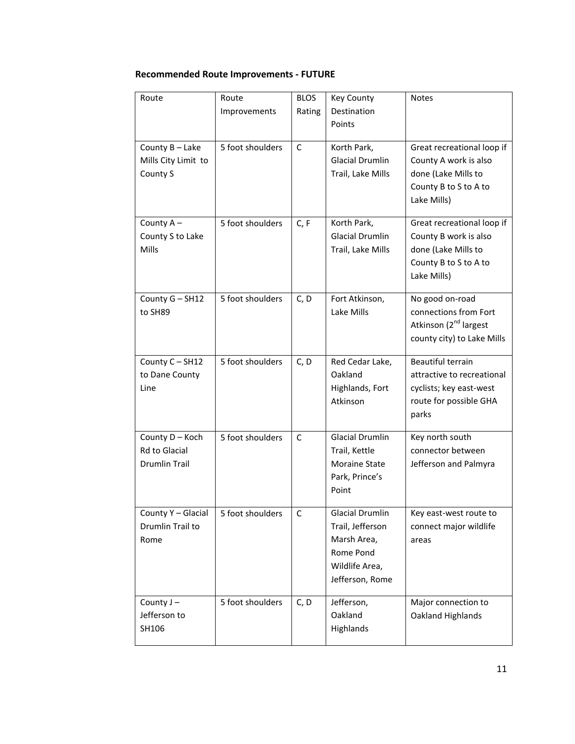# **Recommended Route Improvements - FUTURE**

| Route                | Route            | <b>BLOS</b> | Key County             | Notes                             |
|----------------------|------------------|-------------|------------------------|-----------------------------------|
|                      | Improvements     | Rating      | Destination            |                                   |
|                      |                  |             | Points                 |                                   |
| County B - Lake      | 5 foot shoulders | C           | Korth Park,            | Great recreational loop if        |
| Mills City Limit to  |                  |             | <b>Glacial Drumlin</b> | County A work is also             |
| County S             |                  |             | Trail, Lake Mills      | done (Lake Mills to               |
|                      |                  |             |                        | County B to S to A to             |
|                      |                  |             |                        | Lake Mills)                       |
| County A-            | 5 foot shoulders | C, F        | Korth Park,            | Great recreational loop if        |
| County S to Lake     |                  |             | <b>Glacial Drumlin</b> | County B work is also             |
| Mills                |                  |             | Trail, Lake Mills      | done (Lake Mills to               |
|                      |                  |             |                        | County B to S to A to             |
|                      |                  |             |                        | Lake Mills)                       |
| County G - SH12      | 5 foot shoulders | C, D        | Fort Atkinson,         | No good on-road                   |
| to SH89              |                  |             | Lake Mills             | connections from Fort             |
|                      |                  |             |                        | Atkinson (2 <sup>nd</sup> largest |
|                      |                  |             |                        | county city) to Lake Mills        |
| County C - SH12      | 5 foot shoulders | C, D        | Red Cedar Lake,        | <b>Beautiful terrain</b>          |
| to Dane County       |                  |             | Oakland                | attractive to recreational        |
| Line                 |                  |             | Highlands, Fort        | cyclists; key east-west           |
|                      |                  |             | Atkinson               | route for possible GHA            |
|                      |                  |             |                        | parks                             |
| County D - Koch      | 5 foot shoulders | C           | <b>Glacial Drumlin</b> | Key north south                   |
| <b>Rd to Glacial</b> |                  |             | Trail, Kettle          | connector between                 |
| <b>Drumlin Trail</b> |                  |             | Moraine State          | Jefferson and Palmyra             |
|                      |                  |             | Park, Prince's         |                                   |
|                      |                  |             | Point                  |                                   |
| County Y - Glacial   | 5 foot shoulders | C           | Glacial Drumlin        | Key east-west route to            |
| Drumlin Trail to     |                  |             | Trail, Jefferson       | connect major wildlife            |
| Rome                 |                  |             | Marsh Area,            | areas                             |
|                      |                  |             | Rome Pond              |                                   |
|                      |                  |             | Wildlife Area,         |                                   |
|                      |                  |             | Jefferson, Rome        |                                   |
| County J-            | 5 foot shoulders | C, D        | Jefferson,             | Major connection to               |
| Jefferson to         |                  |             | Oakland                | Oakland Highlands                 |
| SH106                |                  |             | Highlands              |                                   |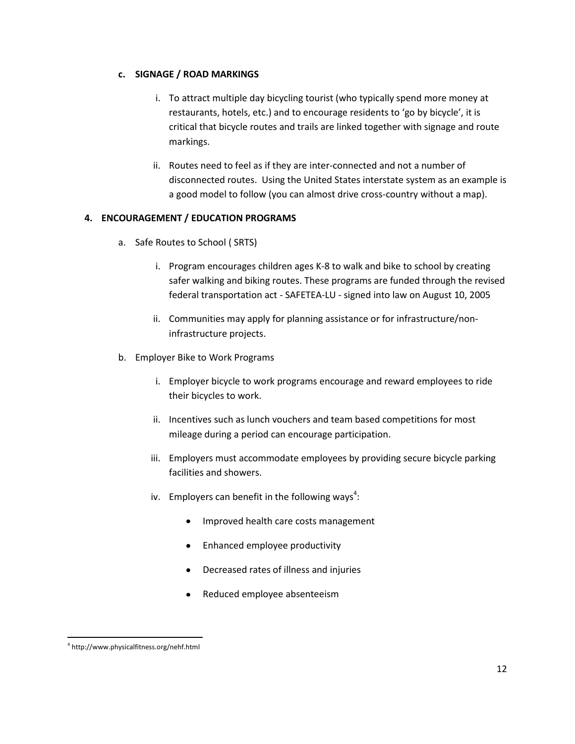### **c. SIGNAGE / ROAD MARKINGS**

- i. To attract multiple day bicycling tourist (who typically spend more money at restaurants, hotels, etc.) and to encourage residents to 'go by bicycle', it is critical that bicycle routes and trails are linked together with signage and route markings.
- ii. Routes need to feel as if they are inter-connected and not a number of disconnected routes. Using the United States interstate system as an example is a good model to follow (you can almost drive cross-country without a map).

# **4. ENCOURAGEMENT / EDUCATION PROGRAMS**

- a. Safe Routes to School ( SRTS)
	- i. Program encourages children ages K-8 to walk and bike to school by creating safer walking and biking routes. These programs are funded through the revised federal transportation act - SAFETEA-LU - signed into law on August 10, 2005
	- ii. Communities may apply for planning assistance or for infrastructure/noninfrastructure projects.
- b. Employer Bike to Work Programs
	- i. Employer bicycle to work programs encourage and reward employees to ride their bicycles to work.
	- ii. Incentives such as lunch vouchers and team based competitions for most mileage during a period can encourage participation.
	- iii. Employers must accommodate employees by providing secure bicycle parking facilities and showers.
	- iv. Employers can benefit in the following ways<sup>4</sup>:
		- Improved health care costs management  $\bullet$
		- Enhanced employee productivity
		- Decreased rates of illness and injuries
		- Reduced employee absenteeism  $\bullet$

 $\overline{\phantom{a}}$ 4 http://www.physicalfitness.org/nehf.html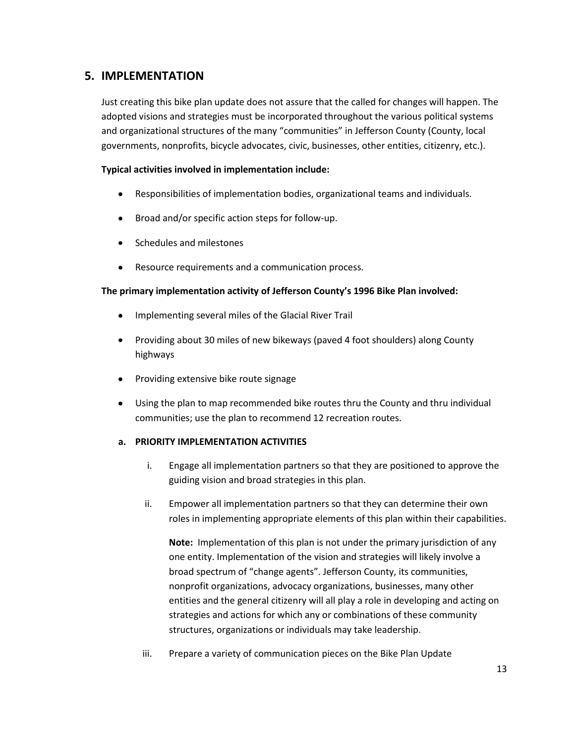# **5. IMPLEMENTATION**

Just creating this bike plan update does not assure that the called for changes will happen. The adopted visions and strategies must be incorporated throughout the various political systems and organizational structures of the many "communities" in Jefferson County (County, local governments, nonprofits, bicycle advocates, civic, businesses, other entities, citizenry, etc.).

# **Typical activities involved in implementation include:**

- $\bullet$ Responsibilities of implementation bodies, organizational teams and individuals.
- Broad and/or specific action steps for follow-up.
- Schedules and milestones  $\bullet$
- $\bullet$ Resource requirements and a communication process.

# **The primary implementation activity of Jefferson County's 1996 Bike Plan involved:**

- $\bullet$ Implementing several miles of the Glacial River Trail
- Providing about 30 miles of new bikeways (paved 4 foot shoulders) along County highways
- Providing extensive bike route signage  $\bullet$
- Using the plan to map recommended bike routes thru the County and thru individual  $\bullet$ communities; use the plan to recommend 12 recreation routes.

### **a. PRIORITY IMPLEMENTATION ACTIVITIES**

- i. Engage all implementation partners so that they are positioned to approve the guiding vision and broad strategies in this plan.
- ii. Empower all implementation partners so that they can determine their own roles in implementing appropriate elements of this plan within their capabilities.

**Note:** Implementation of this plan is not under the primary jurisdiction of any one entity. Implementation of the vision and strategies will likely involve a broad spectrum of "change agents". Jefferson County, its communities, nonprofit organizations, advocacy organizations, businesses, many other entities and the general citizenry will all play a role in developing and acting on strategies and actions for which any or combinations of these community structures, organizations or individuals may take leadership.

iii. Prepare a variety of communication pieces on the Bike Plan Update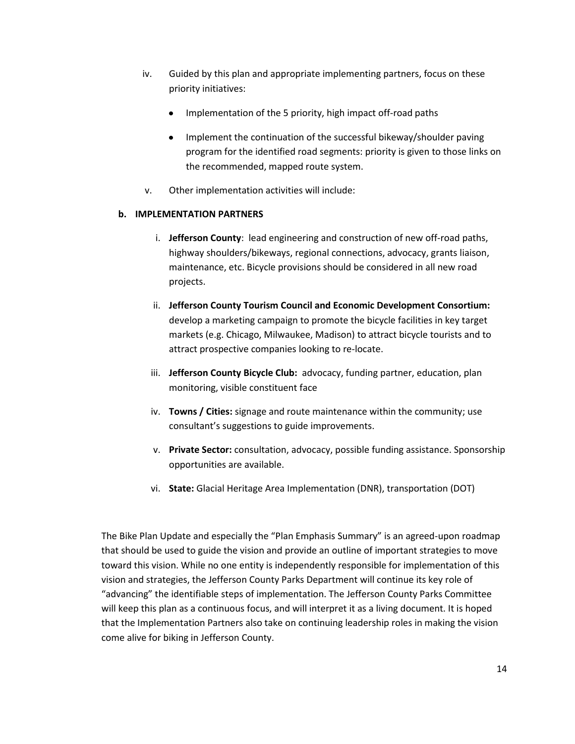- iv. Guided by this plan and appropriate implementing partners, focus on these priority initiatives:
	- Implementation of the 5 priority, high impact off-road paths
	- Implement the continuation of the successful bikeway/shoulder paving program for the identified road segments: priority is given to those links on the recommended, mapped route system.
- v. Other implementation activities will include:

# **b. IMPLEMENTATION PARTNERS**

- i. **Jefferson County**: lead engineering and construction of new off-road paths, highway shoulders/bikeways, regional connections, advocacy, grants liaison, maintenance, etc. Bicycle provisions should be considered in all new road projects.
- ii. **Jefferson County Tourism Council and Economic Development Consortium:**  develop a marketing campaign to promote the bicycle facilities in key target markets (e.g. Chicago, Milwaukee, Madison) to attract bicycle tourists and to attract prospective companies looking to re-locate.
- iii. **Jefferson County Bicycle Club:** advocacy, funding partner, education, plan monitoring, visible constituent face
- iv. **Towns / Cities:** signage and route maintenance within the community; use consultant's suggestions to guide improvements.
- v. **Private Sector:** consultation, advocacy, possible funding assistance. Sponsorship opportunities are available.
- vi. **State:** Glacial Heritage Area Implementation (DNR), transportation (DOT)

The Bike Plan Update and especially the "Plan Emphasis Summary" is an agreed-upon roadmap that should be used to guide the vision and provide an outline of important strategies to move toward this vision. While no one entity is independently responsible for implementation of this vision and strategies, the Jefferson County Parks Department will continue its key role of "advancing" the identifiable steps of implementation. The Jefferson County Parks Committee will keep this plan as a continuous focus, and will interpret it as a living document. It is hoped that the Implementation Partners also take on continuing leadership roles in making the vision come alive for biking in Jefferson County.